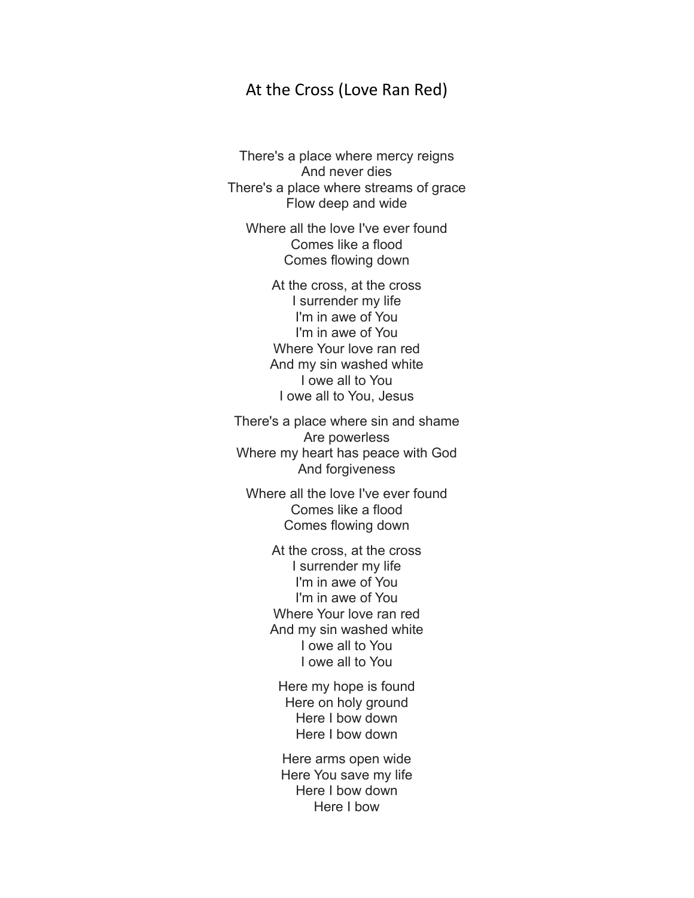## At the Cross (Love Ran Red)

There's a place where mercy reigns And never dies There's a place where streams of grace Flow deep and wide

Where all the love I've ever found Comes like a flood Comes flowing down

At the cross, at the cross I surrender my life I'm in awe of You I'm in awe of You Where Your love ran red And my sin washed white I owe all to You I owe all to You, Jesus

There's a place where sin and shame Are powerless Where my heart has peace with God And forgiveness

Where all the love I've ever found Comes like a flood Comes flowing down

> At the cross, at the cross I surrender my life I'm in awe of You I'm in awe of You Where Your love ran red And my sin washed white I owe all to You I owe all to You

Here my hope is found Here on holy ground Here I bow down Here I bow down

Here arms open wide Here You save my life Here I bow down Here I bow